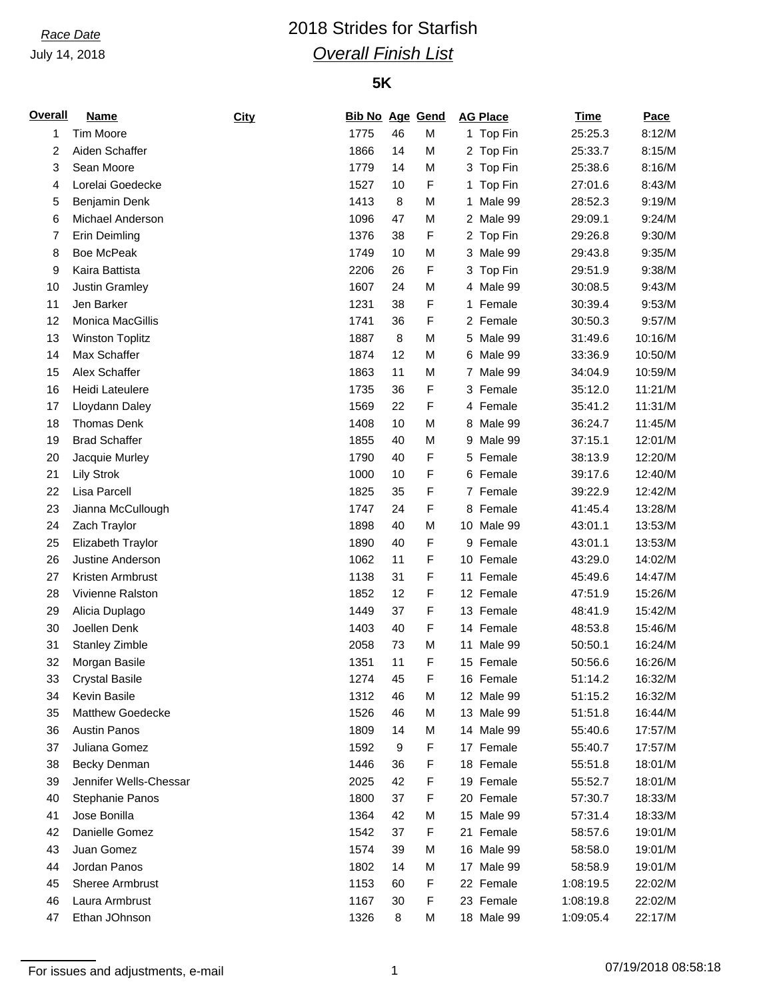July 14, 2018

## *Race Date* 2018 Strides for Starfish *Overall Finish List*

### **5K**

| <b>Overall</b> | Name                    | City | <b>Bib No Age Gend</b> |    |             |    | <b>AG Place</b> | <u>Time</u> | Pace    |
|----------------|-------------------------|------|------------------------|----|-------------|----|-----------------|-------------|---------|
| 1              | <b>Tim Moore</b>        |      | 1775                   | 46 | М           |    | 1 Top Fin       | 25:25.3     | 8:12/M  |
| 2              | Aiden Schaffer          |      | 1866                   | 14 | М           |    | 2 Top Fin       | 25:33.7     | 8:15/M  |
| 3              | Sean Moore              |      | 1779                   | 14 | М           |    | 3 Top Fin       | 25:38.6     | 8:16/M  |
| 4              | Lorelai Goedecke        |      | 1527                   | 10 | F           | 1  | Top Fin         | 27:01.6     | 8:43/M  |
| 5              | Benjamin Denk           |      | 1413                   | 8  | M           | 1. | Male 99         | 28:52.3     | 9:19/M  |
| 6              | Michael Anderson        |      | 1096                   | 47 | M           |    | 2 Male 99       | 29:09.1     | 9:24/M  |
| 7              | Erin Deimling           |      | 1376                   | 38 | F           |    | 2 Top Fin       | 29:26.8     | 9:30/M  |
| 8              | <b>Boe McPeak</b>       |      | 1749                   | 10 | M           | 3  | Male 99         | 29:43.8     | 9:35/M  |
| 9              | Kaira Battista          |      | 2206                   | 26 | F           | 3  | Top Fin         | 29:51.9     | 9:38/M  |
| 10             | Justin Gramley          |      | 1607                   | 24 | M           |    | 4 Male 99       | 30:08.5     | 9:43/M  |
| 11             | Jen Barker              |      | 1231                   | 38 | F           |    | 1 Female        | 30:39.4     | 9:53/M  |
| 12             | Monica MacGillis        |      | 1741                   | 36 | F           |    | 2 Female        | 30:50.3     | 9:57/M  |
| 13             | <b>Winston Toplitz</b>  |      | 1887                   | 8  | M           |    | 5 Male 99       | 31:49.6     | 10:16/M |
| 14             | Max Schaffer            |      | 1874                   | 12 | M           |    | 6 Male 99       | 33:36.9     | 10:50/M |
| 15             | Alex Schaffer           |      | 1863                   | 11 | M           |    | 7 Male 99       | 34:04.9     | 10:59/M |
| 16             | Heidi Lateulere         |      | 1735                   | 36 | F           |    | 3 Female        | 35:12.0     | 11:21/M |
| 17             | Lloydann Daley          |      | 1569                   | 22 | F           |    | 4 Female        | 35:41.2     | 11:31/M |
| 18             | <b>Thomas Denk</b>      |      | 1408                   | 10 | M           |    | 8 Male 99       | 36:24.7     | 11:45/M |
| 19             | <b>Brad Schaffer</b>    |      | 1855                   | 40 | M           | 9  | Male 99         | 37:15.1     | 12:01/M |
| 20             | Jacquie Murley          |      | 1790                   | 40 | F           |    | 5 Female        | 38:13.9     | 12:20/M |
| 21             | <b>Lily Strok</b>       |      | 1000                   | 10 | F           |    | 6 Female        | 39:17.6     | 12:40/M |
| 22             | Lisa Parcell            |      | 1825                   | 35 | F           |    | 7 Female        | 39:22.9     | 12:42/M |
| 23             | Jianna McCullough       |      | 1747                   | 24 | F           |    | 8 Female        | 41:45.4     | 13:28/M |
| 24             | Zach Traylor            |      | 1898                   | 40 | M           |    | 10 Male 99      | 43:01.1     | 13:53/M |
| 25             | Elizabeth Traylor       |      | 1890                   | 40 | F           |    | 9 Female        | 43:01.1     | 13:53/M |
| 26             | Justine Anderson        |      | 1062                   | 11 | F           |    | 10 Female       | 43:29.0     | 14:02/M |
| 27             | Kristen Armbrust        |      | 1138                   | 31 | F           |    | 11 Female       | 45:49.6     | 14:47/M |
| 28             | Vivienne Ralston        |      | 1852                   | 12 | F           |    | 12 Female       | 47:51.9     | 15:26/M |
| 29             | Alicia Duplago          |      | 1449                   | 37 | F           |    | 13 Female       | 48:41.9     | 15:42/M |
| 30             | Joellen Denk            |      | 1403                   | 40 | F           |    | 14 Female       | 48:53.8     | 15:46/M |
| 31             | <b>Stanley Zimble</b>   |      | 2058                   | 73 | М           |    | 11 Male 99      | 50:50.1     | 16:24/M |
| 32             | Morgan Basile           |      | 1351                   | 11 | $\mathsf F$ |    | 15 Female       | 50:56.6     | 16:26/M |
| 33             | <b>Crystal Basile</b>   |      | 1274                   | 45 | F           |    | 16 Female       | 51:14.2     | 16:32/M |
| 34             | Kevin Basile            |      | 1312                   | 46 | М           |    | 12 Male 99      | 51:15.2     | 16:32/M |
| 35             | <b>Matthew Goedecke</b> |      | 1526                   | 46 | М           |    | 13 Male 99      | 51:51.8     | 16:44/M |
| 36             | <b>Austin Panos</b>     |      | 1809                   | 14 | М           |    | 14 Male 99      | 55:40.6     | 17:57/M |
| 37             | Juliana Gomez           |      | 1592                   | 9  | F           |    | 17 Female       | 55:40.7     | 17:57/M |
| 38             | Becky Denman            |      | 1446                   | 36 | F           |    | 18 Female       | 55:51.8     | 18:01/M |
| 39             | Jennifer Wells-Chessar  |      | 2025                   | 42 | F           |    | 19 Female       | 55:52.7     | 18:01/M |
| 40             | Stephanie Panos         |      | 1800                   | 37 | F           |    | 20 Female       | 57:30.7     | 18:33/M |
| 41             | Jose Bonilla            |      | 1364                   | 42 | М           |    | 15 Male 99      | 57:31.4     | 18:33/M |
| 42             | Danielle Gomez          |      | 1542                   | 37 | F           |    | 21 Female       | 58:57.6     | 19:01/M |
| 43             | Juan Gomez              |      | 1574                   | 39 | М           |    | 16 Male 99      | 58:58.0     | 19:01/M |
| 44             | Jordan Panos            |      | 1802                   | 14 | М           |    | 17 Male 99      | 58:58.9     | 19:01/M |
| 45             | <b>Sheree Armbrust</b>  |      | 1153                   | 60 | F           |    | 22 Female       | 1:08:19.5   | 22:02/M |
| 46             | Laura Armbrust          |      | 1167                   | 30 | F           |    | 23 Female       | 1:08:19.8   | 22:02/M |
| 47             | Ethan JOhnson           |      | 1326                   | 8  | М           |    | 18 Male 99      | 1:09:05.4   | 22:17/M |

For issues and adjustments, e-mail 1 07/19/2018 08:58:18